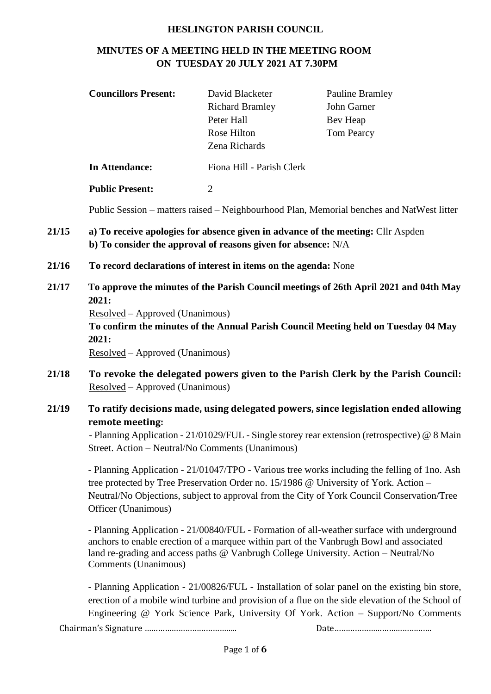#### **HESLINGTON PARISH COUNCIL**

# **MINUTES OF A MEETING HELD IN THE MEETING ROOM ON TUESDAY 20 JULY 2021 AT 7.30PM**

|       | <b>Councillors Present:</b>                                                                                                                                                                                                                                                                               | David Blacketer<br><b>Richard Bramley</b><br>Peter Hall<br>Rose Hilton<br>Zena Richards | <b>Pauline Bramley</b><br>John Garner<br>Bev Heap<br><b>Tom Pearcy</b>                                                                                                                                                                                                      |  |  |  |
|-------|-----------------------------------------------------------------------------------------------------------------------------------------------------------------------------------------------------------------------------------------------------------------------------------------------------------|-----------------------------------------------------------------------------------------|-----------------------------------------------------------------------------------------------------------------------------------------------------------------------------------------------------------------------------------------------------------------------------|--|--|--|
|       | <b>In Attendance:</b>                                                                                                                                                                                                                                                                                     | Fiona Hill - Parish Clerk                                                               |                                                                                                                                                                                                                                                                             |  |  |  |
|       | <b>Public Present:</b>                                                                                                                                                                                                                                                                                    | $\overline{2}$                                                                          |                                                                                                                                                                                                                                                                             |  |  |  |
|       | Public Session – matters raised – Neighbourhood Plan, Memorial benches and NatWest litter                                                                                                                                                                                                                 |                                                                                         |                                                                                                                                                                                                                                                                             |  |  |  |
| 21/15 | a) To receive apologies for absence given in advance of the meeting: Cllr Aspden<br>b) To consider the approval of reasons given for absence: N/A                                                                                                                                                         |                                                                                         |                                                                                                                                                                                                                                                                             |  |  |  |
| 21/16 | To record declarations of interest in items on the agenda: None                                                                                                                                                                                                                                           |                                                                                         |                                                                                                                                                                                                                                                                             |  |  |  |
| 21/17 | To approve the minutes of the Parish Council meetings of 26th April 2021 and 04th May<br>2021:<br>Resolved – Approved (Unanimous)<br>To confirm the minutes of the Annual Parish Council Meeting held on Tuesday 04 May<br>2021:<br>Resolved – Approved (Unanimous)                                       |                                                                                         |                                                                                                                                                                                                                                                                             |  |  |  |
| 21/18 | To revoke the delegated powers given to the Parish Clerk by the Parish Council:<br>Resolved – Approved (Unanimous)                                                                                                                                                                                        |                                                                                         |                                                                                                                                                                                                                                                                             |  |  |  |
| 21/19 | To ratify decisions made, using delegated powers, since legislation ended allowing<br>remote meeting:<br>- Planning Application - 21/01029/FUL - Single storey rear extension (retrospective) @ 8 Main<br>Street. Action - Neutral/No Comments (Unanimous)                                                |                                                                                         |                                                                                                                                                                                                                                                                             |  |  |  |
|       | - Planning Application - 21/01047/TPO - Various tree works including the felling of 1no. Ash<br>tree protected by Tree Preservation Order no. 15/1986 @ University of York. Action -<br>Neutral/No Objections, subject to approval from the City of York Council Conservation/Tree<br>Officer (Unanimous) |                                                                                         |                                                                                                                                                                                                                                                                             |  |  |  |
|       | Comments (Unanimous)                                                                                                                                                                                                                                                                                      |                                                                                         | - Planning Application - 21/00840/FUL - Formation of all-weather surface with underground<br>anchors to enable erection of a marquee within part of the Vanbrugh Bowl and associated<br>land re-grading and access paths @ Vanbrugh College University. Action - Neutral/No |  |  |  |
|       |                                                                                                                                                                                                                                                                                                           |                                                                                         | - Planning Application - 21/00826/FUL - Installation of solar panel on the existing bin store,<br>erection of a mobile wind turbine and provision of a flue on the side elevation of the School of                                                                          |  |  |  |

Engineering @ York Science Park, University Of York. Action – Support/No Comments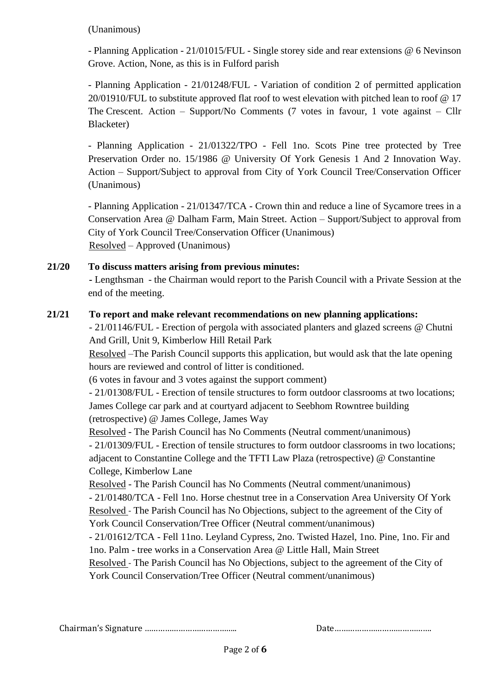#### (Unanimous)

- Planning Application - 21/01015/FUL - Single storey side and rear extensions @ 6 Nevinson Grove. Action, None, as this is in Fulford parish

- Planning Application - 21/01248/FUL - Variation of condition 2 of permitted application 20/01910/FUL to substitute approved flat roof to west elevation with pitched lean to roof @ 17 The Crescent. Action – Support/No Comments (7 votes in favour, 1 vote against – Cllr Blacketer)

- Planning Application - 21/01322/TPO - Fell 1no. Scots Pine tree protected by Tree Preservation Order no. 15/1986 @ University Of York Genesis 1 And 2 Innovation Way. Action – Support/Subject to approval from City of York Council Tree/Conservation Officer (Unanimous)

- Planning Application - 21/01347/TCA - Crown thin and reduce a line of Sycamore trees in a Conservation Area @ Dalham Farm, Main Street. Action – Support/Subject to approval from City of York Council Tree/Conservation Officer (Unanimous) Resolved – Approved (Unanimous)

# **21/20 To discuss matters arising from previous minutes:**

**-** Lengthsman - the Chairman would report to the Parish Council with a Private Session at the end of the meeting.

## **21/21 To report and make relevant recommendations on new planning applications:**

- 21/01146/FUL - Erection of pergola with associated planters and glazed screens @ Chutni And Grill, Unit 9, Kimberlow Hill Retail Park

Resolved –The Parish Council supports this application, but would ask that the late opening hours are reviewed and control of litter is conditioned.

(6 votes in favour and 3 votes against the support comment)

- 21/01308/FUL - Erection of tensile structures to form outdoor classrooms at two locations; James College car park and at courtyard adjacent to Seebhom Rowntree building (retrospective) @ James College, James Way

Resolved - The Parish Council has No Comments (Neutral comment/unanimous) - 21/01309/FUL - Erection of tensile structures to form outdoor classrooms in two locations; adjacent to Constantine College and the TFTI Law Plaza (retrospective) @ Constantine College, Kimberlow Lane

Resolved - The Parish Council has No Comments (Neutral comment/unanimous)

- 21/01480/TCA - Fell 1no. Horse chestnut tree in a Conservation Area University Of York Resolved - The Parish Council has No Objections, subject to the agreement of the City of York Council Conservation/Tree Officer (Neutral comment/unanimous)

- 21/01612/TCA - Fell 11no. Leyland Cypress, 2no. Twisted Hazel, 1no. Pine, 1no. Fir and 1no. Palm - tree works in a Conservation Area @ Little Hall, Main Street

Resolved - The Parish Council has No Objections, subject to the agreement of the City of York Council Conservation/Tree Officer (Neutral comment/unanimous)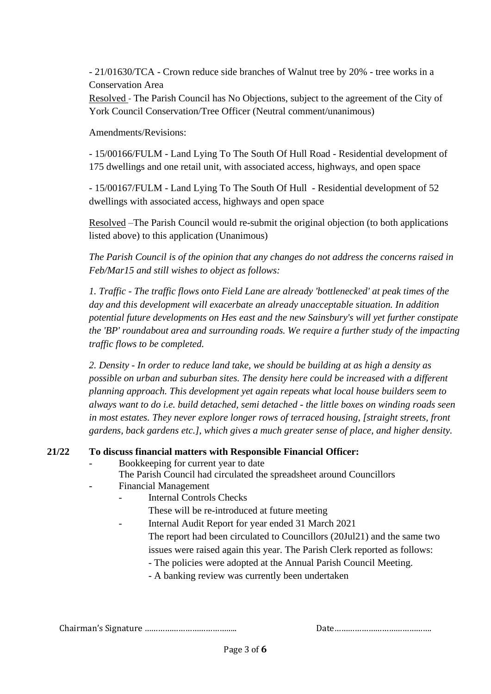- 21/01630/TCA - Crown reduce side branches of Walnut tree by 20% - tree works in a Conservation Area

Resolved - The Parish Council has No Objections, subject to the agreement of the City of York Council Conservation/Tree Officer (Neutral comment/unanimous)

Amendments/Revisions:

- 15/00166/FULM - Land Lying To The South Of Hull Road - Residential development of 175 dwellings and one retail unit, with associated access, highways, and open space

- 15/00167/FULM - Land Lying To The South Of Hull - Residential development of 52 dwellings with associated access, highways and open space

Resolved –The Parish Council would re-submit the original objection (to both applications listed above) to this application (Unanimous)

*The Parish Council is of the opinion that any changes do not address the concerns raised in Feb/Mar15 and still wishes to object as follows:*

*1. Traffic - The traffic flows onto Field Lane are already 'bottlenecked' at peak times of the day and this development will exacerbate an already unacceptable situation. In addition potential future developments on Hes east and the new Sainsbury's will yet further constipate the 'BP' roundabout area and surrounding roads. We require a further study of the impacting traffic flows to be completed.* 

*2. Density - In order to reduce land take, we should be building at as high a density as possible on urban and suburban sites. The density here could be increased with a different planning approach. This development yet again repeats what local house builders seem to always want to do i.e. build detached, semi detached - the little boxes on winding roads seen in most estates. They never explore longer rows of terraced housing, [straight streets, front gardens, back gardens etc.], which gives a much greater sense of place, and higher density.*

## **21/22 To discuss financial matters with Responsible Financial Officer:**

- Bookkeeping for current year to date
- The Parish Council had circulated the spreadsheet around Councillors
- Financial Management
	- Internal Controls Checks
		- These will be re-introduced at future meeting
	- Internal Audit Report for year ended 31 March 2021
		- The report had been circulated to Councillors (20Jul21) and the same two issues were raised again this year. The Parish Clerk reported as follows:
			- The policies were adopted at the Annual Parish Council Meeting.
			- A banking review was currently been undertaken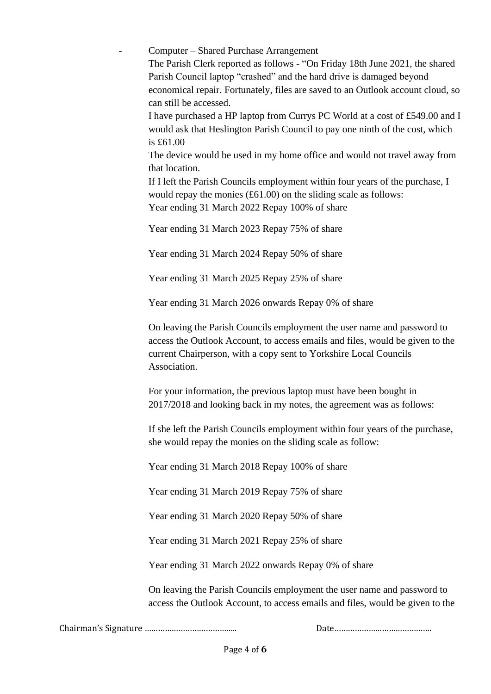- Computer – Shared Purchase Arrangement The Parish Clerk reported as follows - "On Friday 18th June 2021, the shared Parish Council laptop "crashed" and the hard drive is damaged beyond economical repair. Fortunately, files are saved to an Outlook account cloud, so can still be accessed. I have purchased a HP laptop from Currys PC World at a cost of £549.00 and I would ask that Heslington Parish Council to pay one ninth of the cost, which is £61.00 The device would be used in my home office and would not travel away from that location. If I left the Parish Councils employment within four years of the purchase, I would repay the monies (£61.00) on the sliding scale as follows: Year ending 31 March 2022 Repay 100% of share

Year ending 31 March 2023 Repay 75% of share

Year ending 31 March 2024 Repay 50% of share

Year ending 31 March 2025 Repay 25% of share

Year ending 31 March 2026 onwards Repay 0% of share

On leaving the Parish Councils employment the user name and password to access the Outlook Account, to access emails and files, would be given to the current Chairperson, with a copy sent to Yorkshire Local Councils Association.

For your information, the previous laptop must have been bought in 2017/2018 and looking back in my notes, the agreement was as follows:

If she left the Parish Councils employment within four years of the purchase, she would repay the monies on the sliding scale as follow:

Year ending 31 March 2018 Repay 100% of share

Year ending 31 March 2019 Repay 75% of share

Year ending 31 March 2020 Repay 50% of share

Year ending 31 March 2021 Repay 25% of share

Year ending 31 March 2022 onwards Repay 0% of share

On leaving the Parish Councils employment the user name and password to access the Outlook Account, to access emails and files, would be given to the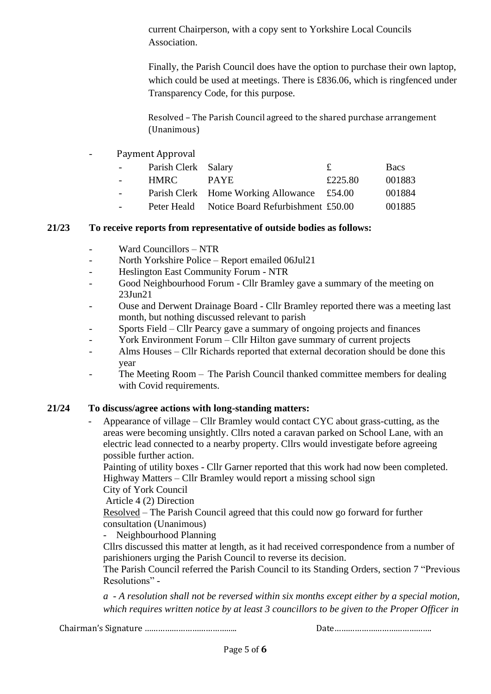current Chairperson, with a copy sent to Yorkshire Local Councils Association.

Finally, the Parish Council does have the option to purchase their own laptop, which could be used at meetings. There is £836.06, which is ringfenced under Transparency Code, for this purpose.

Resolved – The Parish Council agreed to the shared purchase arrangement (Unanimous)

Payment Approval

| $\sim$ 100 $\pm$         | Parish Clerk Salary |                                               | £       | <b>Bacs</b> |
|--------------------------|---------------------|-----------------------------------------------|---------|-------------|
| $\sim$ 100 $\pm$         | HMRC -              | <b>PAYE</b>                                   | £225.80 | 001883      |
| $\overline{\phantom{0}}$ |                     | Parish Clerk Home Working Allowance £54.00    |         | 001884      |
| $\overline{\phantom{0}}$ |                     | Peter Heald Notice Board Refurbishment £50.00 |         | 001885      |

#### **21/23 To receive reports from representative of outside bodies as follows:**

- Ward Councillors NTR
- North Yorkshire Police Report emailed 06Jul21
- Heslington East Community Forum NTR
- Good Neighbourhood Forum Cllr Bramley gave a summary of the meeting on 23Jun21
- Ouse and Derwent Drainage Board Cllr Bramley reported there was a meeting last month, but nothing discussed relevant to parish
- Sports Field Cllr Pearcy gave a summary of ongoing projects and finances
- York Environment Forum Cllr Hilton gave summary of current projects
- Alms Houses Cllr Richards reported that external decoration should be done this year
- The Meeting Room The Parish Council thanked committee members for dealing with Covid requirements.

## **21/24 To discuss/agree actions with long-standing matters:**

Appearance of village – Cllr Bramley would contact CYC about grass-cutting, as the areas were becoming unsightly. Cllrs noted a caravan parked on School Lane, with an electric lead connected to a nearby property. Cllrs would investigate before agreeing possible further action.

Painting of utility boxes - Cllr Garner reported that this work had now been completed. Highway Matters – Cllr Bramley would report a missing school sign

City of York Council

Article 4 (2) Direction

Resolved – The Parish Council agreed that this could now go forward for further consultation (Unanimous)

Neighbourhood Planning

Cllrs discussed this matter at length, as it had received correspondence from a number of parishioners urging the Parish Council to reverse its decision.

The Parish Council referred the Parish Council to its Standing Orders, section 7 "Previous Resolutions" -

*a - A resolution shall not be reversed within six months except either by a special motion, which requires written notice by at least 3 councillors to be given to the Proper Officer in*